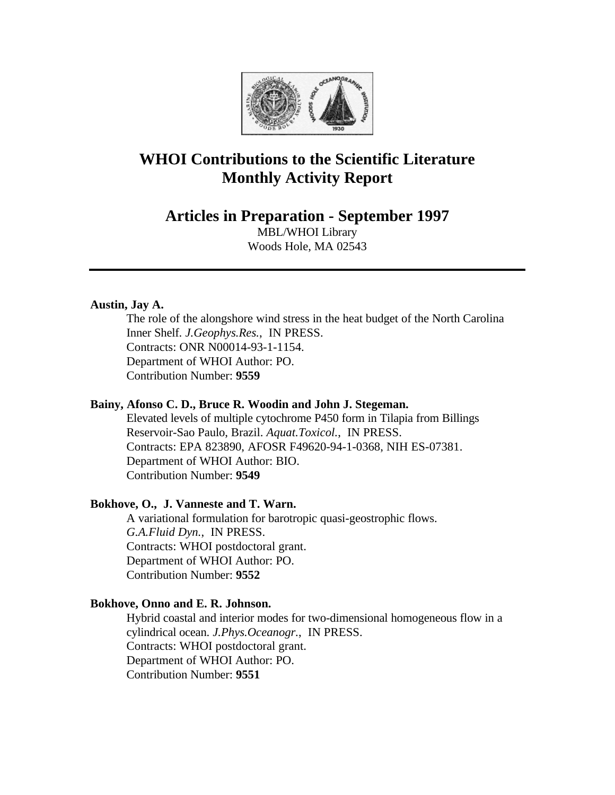

# **WHOI Contributions to the Scientific Literature Monthly Activity Report**

**Articles in Preparation - September 1997**

MBL/WHOI Library Woods Hole, MA 02543

# **Austin, Jay A.**

The role of the alongshore wind stress in the heat budget of the North Carolina Inner Shelf. *J.Geophys.Res.*, IN PRESS. Contracts: ONR N00014-93-1-1154. Department of WHOI Author: PO. Contribution Number: **9559**

# **Bainy, Afonso C. D., Bruce R. Woodin and John J. Stegeman.**

Elevated levels of multiple cytochrome P450 form in Tilapia from Billings Reservoir-Sao Paulo, Brazil. *Aquat.Toxicol.*, IN PRESS. Contracts: EPA 823890, AFOSR F49620-94-1-0368, NIH ES-07381. Department of WHOI Author: BIO. Contribution Number: **9549**

# **Bokhove, O., J. Vanneste and T. Warn.**

A variational formulation for barotropic quasi-geostrophic flows. *G.A.Fluid Dyn.*, IN PRESS. Contracts: WHOI postdoctoral grant. Department of WHOI Author: PO. Contribution Number: **9552**

# **Bokhove, Onno and E. R. Johnson.**

Hybrid coastal and interior modes for two-dimensional homogeneous flow in a cylindrical ocean. *J.Phys.Oceanogr.*, IN PRESS. Contracts: WHOI postdoctoral grant. Department of WHOI Author: PO. Contribution Number: **9551**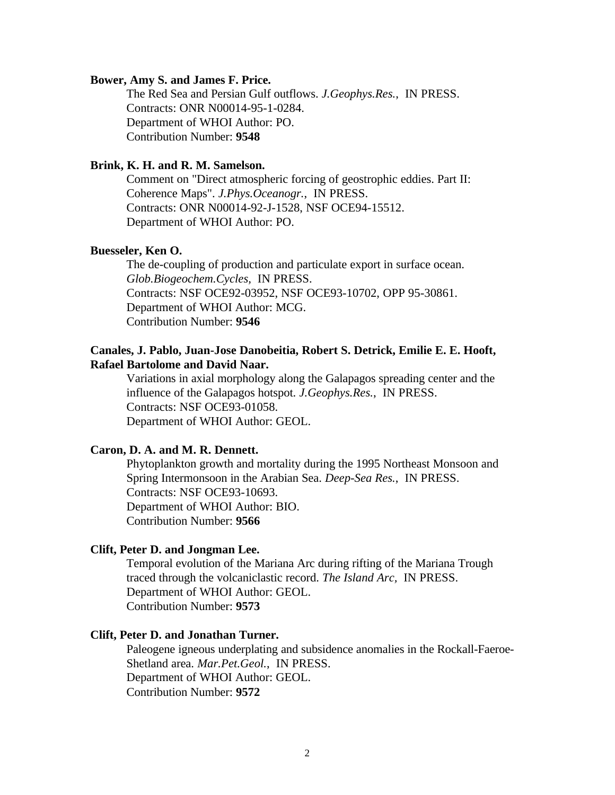#### **Bower, Amy S. and James F. Price.**

The Red Sea and Persian Gulf outflows. *J.Geophys.Res.*, IN PRESS. Contracts: ONR N00014-95-1-0284. Department of WHOI Author: PO. Contribution Number: **9548**

#### **Brink, K. H. and R. M. Samelson.**

Comment on "Direct atmospheric forcing of geostrophic eddies. Part II: Coherence Maps". *J.Phys.Oceanogr.*, IN PRESS. Contracts: ONR N00014-92-J-1528, NSF OCE94-15512. Department of WHOI Author: PO.

#### **Buesseler, Ken O.**

The de-coupling of production and particulate export in surface ocean. *Glob.Biogeochem.Cycles,* IN PRESS. Contracts: NSF OCE92-03952, NSF OCE93-10702, OPP 95-30861. Department of WHOI Author: MCG. Contribution Number: **9546**

# **Canales, J. Pablo, Juan-Jose Danobeitia, Robert S. Detrick, Emilie E. E. Hooft, Rafael Bartolome and David Naar.**

Variations in axial morphology along the Galapagos spreading center and the influence of the Galapagos hotspot. *J.Geophys.Res.*, IN PRESS. Contracts: NSF OCE93-01058. Department of WHOI Author: GEOL.

### **Caron, D. A. and M. R. Dennett.**

Phytoplankton growth and mortality during the 1995 Northeast Monsoon and Spring Intermonsoon in the Arabian Sea. *Deep-Sea Res.*, IN PRESS. Contracts: NSF OCE93-10693. Department of WHOI Author: BIO. Contribution Number: **9566**

#### **Clift, Peter D. and Jongman Lee.**

Temporal evolution of the Mariana Arc during rifting of the Mariana Trough traced through the volcaniclastic record. *The Island Arc,* IN PRESS. Department of WHOI Author: GEOL. Contribution Number: **9573**

#### **Clift, Peter D. and Jonathan Turner.**

Paleogene igneous underplating and subsidence anomalies in the Rockall-Faeroe-Shetland area. *Mar.Pet.Geol.*, IN PRESS. Department of WHOI Author: GEOL. Contribution Number: **9572**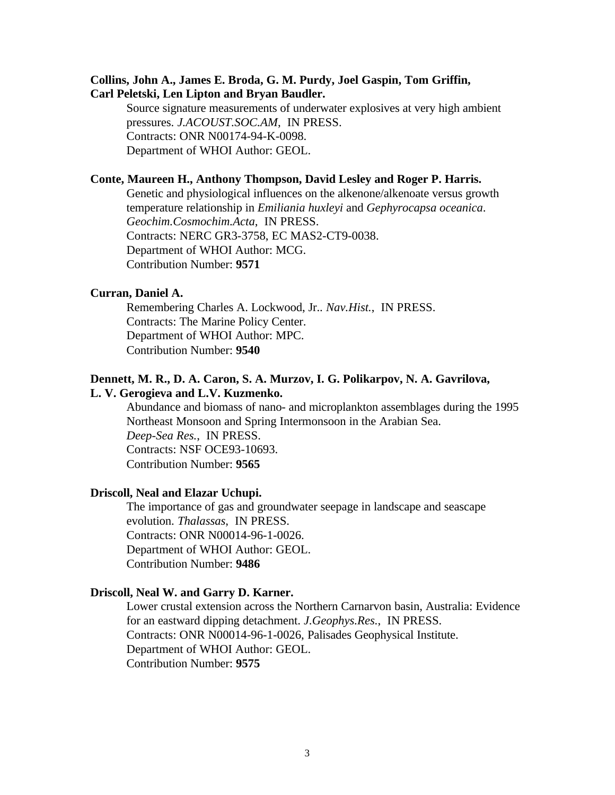# **Collins, John A., James E. Broda, G. M. Purdy, Joel Gaspin, Tom Griffin, Carl Peletski, Len Lipton and Bryan Baudler.**

Source signature measurements of underwater explosives at very high ambient pressures. *J.ACOUST.SOC.AM*, IN PRESS. Contracts: ONR N00174-94-K-0098. Department of WHOI Author: GEOL.

#### **Conte, Maureen H., Anthony Thompson, David Lesley and Roger P. Harris.**

Genetic and physiological influences on the alkenone/alkenoate versus growth temperature relationship in *Emiliania huxleyi* and *Gephyrocapsa oceanica*. *Geochim.Cosmochim.Acta*, IN PRESS. Contracts: NERC GR3-3758, EC MAS2-CT9-0038. Department of WHOI Author: MCG. Contribution Number: **9571**

# **Curran, Daniel A.**

Remembering Charles A. Lockwood, Jr.. *Nav.Hist.*, IN PRESS. Contracts: The Marine Policy Center. Department of WHOI Author: MPC. Contribution Number: **9540**

#### **Dennett, M. R., D. A. Caron, S. A. Murzov, I. G. Polikarpov, N. A. Gavrilova, L. V. Gerogieva and L.V. Kuzmenko.**

Abundance and biomass of nano- and microplankton assemblages during the 1995 Northeast Monsoon and Spring Intermonsoon in the Arabian Sea. *Deep-Sea Res.*, IN PRESS. Contracts: NSF OCE93-10693. Contribution Number: **9565**

#### **Driscoll, Neal and Elazar Uchupi.**

The importance of gas and groundwater seepage in landscape and seascape evolution. *Thalassas*, IN PRESS. Contracts: ONR N00014-96-1-0026. Department of WHOI Author: GEOL. Contribution Number: **9486**

#### **Driscoll, Neal W. and Garry D. Karner.**

Lower crustal extension across the Northern Carnarvon basin, Australia: Evidence for an eastward dipping detachment. *J.Geophys.Res.*, IN PRESS. Contracts: ONR N00014-96-1-0026, Palisades Geophysical Institute. Department of WHOI Author: GEOL. Contribution Number: **9575**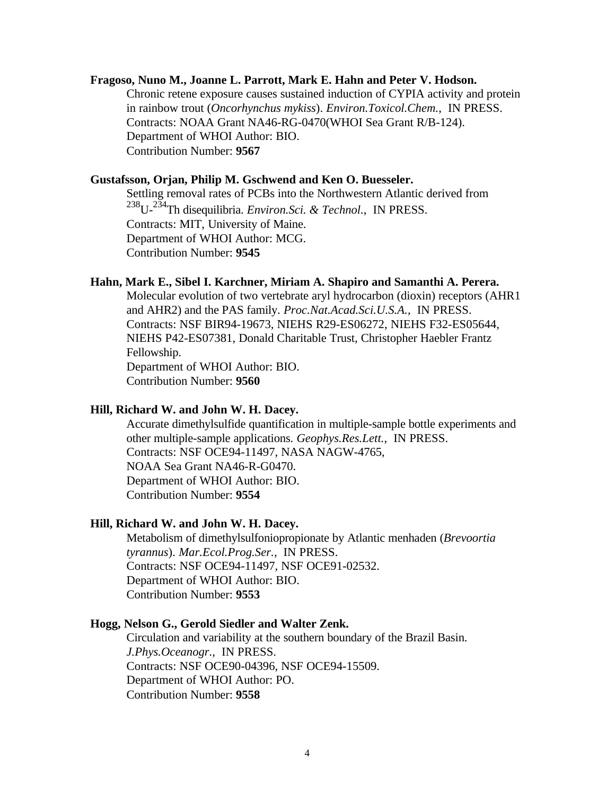### **Fragoso, Nuno M., Joanne L. Parrott, Mark E. Hahn and Peter V. Hodson.**

Chronic retene exposure causes sustained induction of CYPIA activity and protein in rainbow trout (*Oncorhynchus mykiss*). *Environ.Toxicol.Chem.*, IN PRESS. Contracts: NOAA Grant NA46-RG-0470(WHOI Sea Grant R/B-124). Department of WHOI Author: BIO. Contribution Number: **9567**

#### **Gustafsson, Orjan, Philip M. Gschwend and Ken O. Buesseler.**

Settling removal rates of PCBs into the Northwestern Atlantic derived from <sup>238</sup>U-234Th disequilibria. *Environ.Sci. & Technol.*, IN PRESS. Contracts: MIT, University of Maine. Department of WHOI Author: MCG. Contribution Number: **9545**

# **Hahn, Mark E., Sibel I. Karchner, Miriam A. Shapiro and Samanthi A. Perera.**

Molecular evolution of two vertebrate aryl hydrocarbon (dioxin) receptors (AHR1 and AHR2) and the PAS family. *Proc.Nat.Acad.Sci.U.S.A.*, IN PRESS. Contracts: NSF BIR94-19673, NIEHS R29-ES06272, NIEHS F32-ES05644, NIEHS P42-ES07381, Donald Charitable Trust, Christopher Haebler Frantz Fellowship. Department of WHOI Author: BIO. Contribution Number: **9560**

# **Hill, Richard W. and John W. H. Dacey.**

Accurate dimethylsulfide quantification in multiple-sample bottle experiments and other multiple-sample applications. *Geophys.Res.Lett.*, IN PRESS. Contracts: NSF OCE94-11497, NASA NAGW-4765, NOAA Sea Grant NA46-R-G0470. Department of WHOI Author: BIO. Contribution Number: **9554**

### **Hill, Richard W. and John W. H. Dacey.**

Metabolism of dimethylsulfoniopropionate by Atlantic menhaden (*Brevoortia tyrannus*). *Mar.Ecol.Prog.Ser.,* IN PRESS. Contracts: NSF OCE94-11497, NSF OCE91-02532. Department of WHOI Author: BIO. Contribution Number: **9553**

# **Hogg, Nelson G., Gerold Siedler and Walter Zenk.**

Circulation and variability at the southern boundary of the Brazil Basin. *J.Phys.Oceanogr.*, IN PRESS. Contracts: NSF OCE90-04396, NSF OCE94-15509. Department of WHOI Author: PO. Contribution Number: **9558**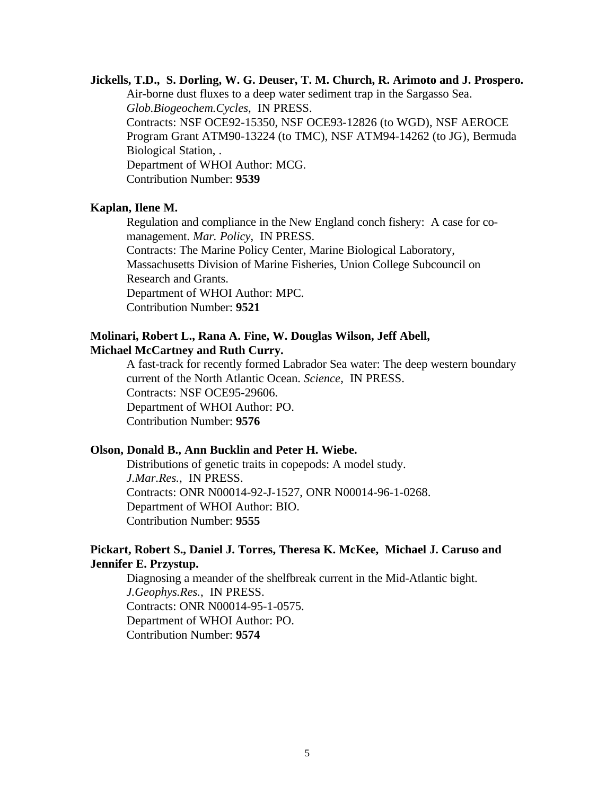#### **Jickells, T.D., S. Dorling, W. G. Deuser, T. M. Church, R. Arimoto and J. Prospero.**

Air-borne dust fluxes to a deep water sediment trap in the Sargasso Sea. *Glob.Biogeochem.Cycles*, IN PRESS. Contracts: NSF OCE92-15350, NSF OCE93-12826 (to WGD), NSF AEROCE

Program Grant ATM90-13224 (to TMC), NSF ATM94-14262 (to JG), Bermuda Biological Station, .

Department of WHOI Author: MCG.

Contribution Number: **9539**

#### **Kaplan, Ilene M.**

Regulation and compliance in the New England conch fishery: A case for comanagement. *Mar. Policy*, IN PRESS.

Contracts: The Marine Policy Center, Marine Biological Laboratory,

Massachusetts Division of Marine Fisheries, Union College Subcouncil on Research and Grants.

Department of WHOI Author: MPC.

Contribution Number: **9521**

# **Molinari, Robert L., Rana A. Fine, W. Douglas Wilson, Jeff Abell, Michael McCartney and Ruth Curry.**

A fast-track for recently formed Labrador Sea water: The deep western boundary current of the North Atlantic Ocean. *Science*, IN PRESS. Contracts: NSF OCE95-29606. Department of WHOI Author: PO. Contribution Number: **9576**

### **Olson, Donald B., Ann Bucklin and Peter H. Wiebe.**

Distributions of genetic traits in copepods: A model study. *J.Mar.Res.*, IN PRESS. Contracts: ONR N00014-92-J-1527, ONR N00014-96-1-0268. Department of WHOI Author: BIO. Contribution Number: **9555**

# **Pickart, Robert S., Daniel J. Torres, Theresa K. McKee, Michael J. Caruso and Jennifer E. Przystup.**

Diagnosing a meander of the shelfbreak current in the Mid-Atlantic bight. *J.Geophys.Res.*, IN PRESS. Contracts: ONR N00014-95-1-0575. Department of WHOI Author: PO. Contribution Number: **9574**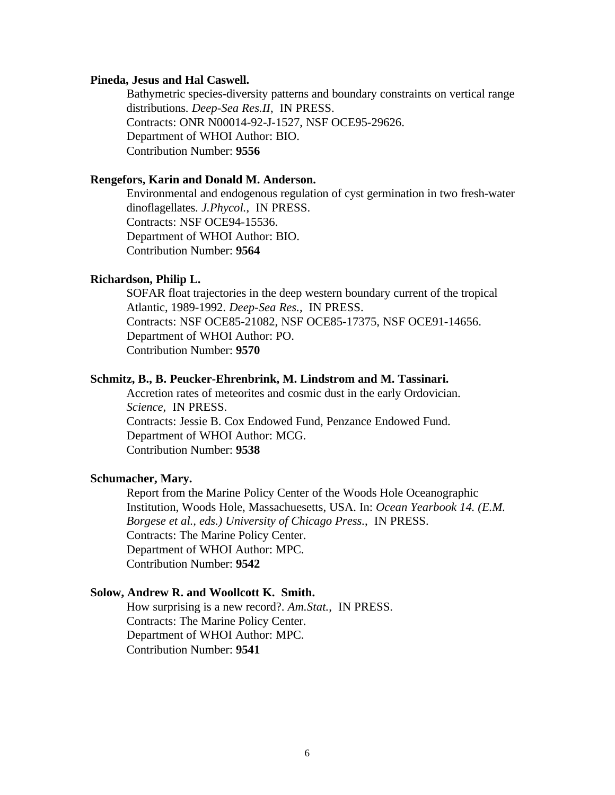#### **Pineda, Jesus and Hal Caswell.**

Bathymetric species-diversity patterns and boundary constraints on vertical range distributions. *Deep-Sea Res.II*, IN PRESS. Contracts: ONR N00014-92-J-1527, NSF OCE95-29626. Department of WHOI Author: BIO. Contribution Number: **9556**

# **Rengefors, Karin and Donald M. Anderson.**

Environmental and endogenous regulation of cyst germination in two fresh-water dinoflagellates. *J.Phycol.*, IN PRESS. Contracts: NSF OCE94-15536. Department of WHOI Author: BIO. Contribution Number: **9564**

# **Richardson, Philip L.**

SOFAR float trajectories in the deep western boundary current of the tropical Atlantic, 1989-1992. *Deep-Sea Res.*, IN PRESS. Contracts: NSF OCE85-21082, NSF OCE85-17375, NSF OCE91-14656. Department of WHOI Author: PO. Contribution Number: **9570**

#### **Schmitz, B., B. Peucker-Ehrenbrink, M. Lindstrom and M. Tassinari.**

Accretion rates of meteorites and cosmic dust in the early Ordovician. *Science*, IN PRESS. Contracts: Jessie B. Cox Endowed Fund, Penzance Endowed Fund. Department of WHOI Author: MCG. Contribution Number: **9538**

#### **Schumacher, Mary.**

Report from the Marine Policy Center of the Woods Hole Oceanographic Institution, Woods Hole, Massachuesetts, USA. In: *Ocean Yearbook 14. (E.M. Borgese et al., eds.) University of Chicago Press.*, IN PRESS. Contracts: The Marine Policy Center. Department of WHOI Author: MPC. Contribution Number: **9542**

# **Solow, Andrew R. and Woollcott K. Smith.**

How surprising is a new record?. *Am.Stat.*, IN PRESS. Contracts: The Marine Policy Center. Department of WHOI Author: MPC. Contribution Number: **9541**